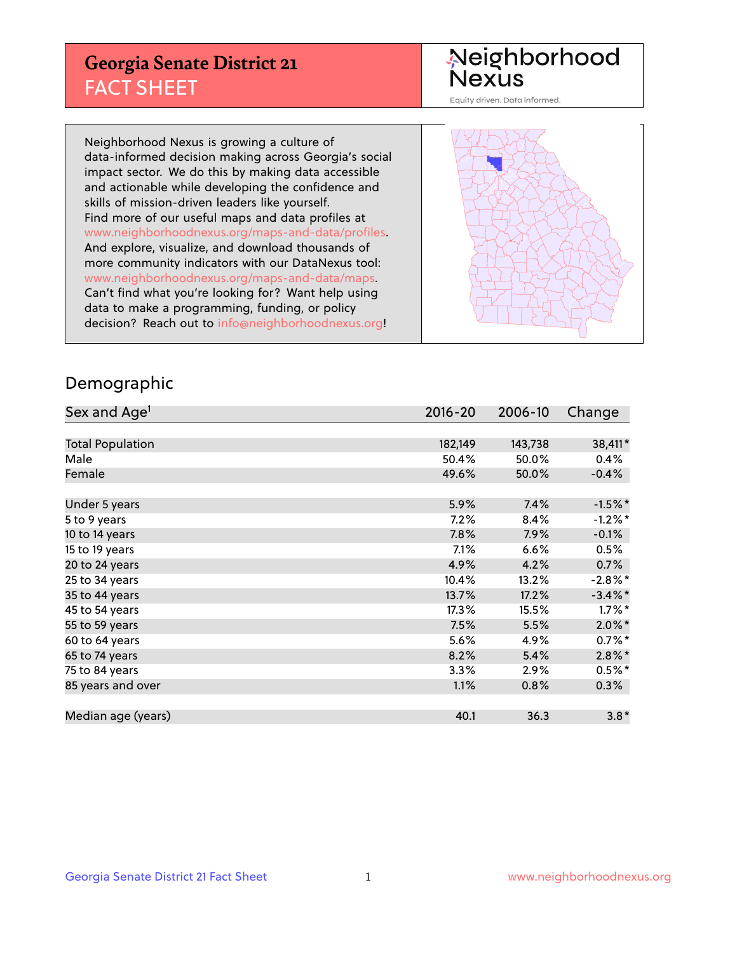## **Georgia Senate District 21** FACT SHEET

# Neighborhood<br>Nexus

Equity driven. Data informed.

Neighborhood Nexus is growing a culture of data-informed decision making across Georgia's social impact sector. We do this by making data accessible and actionable while developing the confidence and skills of mission-driven leaders like yourself. Find more of our useful maps and data profiles at www.neighborhoodnexus.org/maps-and-data/profiles. And explore, visualize, and download thousands of more community indicators with our DataNexus tool: www.neighborhoodnexus.org/maps-and-data/maps. Can't find what you're looking for? Want help using data to make a programming, funding, or policy decision? Reach out to [info@neighborhoodnexus.org!](mailto:info@neighborhoodnexus.org)



### Demographic

| Sex and Age <sup>1</sup> | 2016-20 | 2006-10 | Change     |
|--------------------------|---------|---------|------------|
|                          |         |         |            |
| <b>Total Population</b>  | 182,149 | 143,738 | 38,411*    |
| Male                     | 50.4%   | 50.0%   | 0.4%       |
| Female                   | 49.6%   | 50.0%   | $-0.4%$    |
|                          |         |         |            |
| Under 5 years            | 5.9%    | 7.4%    | $-1.5%$ *  |
| 5 to 9 years             | 7.2%    | 8.4%    | $-1.2%$ *  |
| 10 to 14 years           | 7.8%    | 7.9%    | $-0.1%$    |
| 15 to 19 years           | 7.1%    | 6.6%    | 0.5%       |
| 20 to 24 years           | 4.9%    | 4.2%    | 0.7%       |
| 25 to 34 years           | 10.4%   | 13.2%   | $-2.8\%$ * |
| 35 to 44 years           | 13.7%   | 17.2%   | $-3.4\%$ * |
| 45 to 54 years           | 17.3%   | 15.5%   | $1.7\%$ *  |
| 55 to 59 years           | 7.5%    | 5.5%    | $2.0\%$ *  |
| 60 to 64 years           | 5.6%    | 4.9%    | $0.7\%$ *  |
| 65 to 74 years           | 8.2%    | 5.4%    | $2.8\%$ *  |
| 75 to 84 years           | 3.3%    | 2.9%    | $0.5%$ *   |
| 85 years and over        | 1.1%    | 0.8%    | $0.3\%$    |
|                          |         |         |            |
| Median age (years)       | 40.1    | 36.3    | $3.8*$     |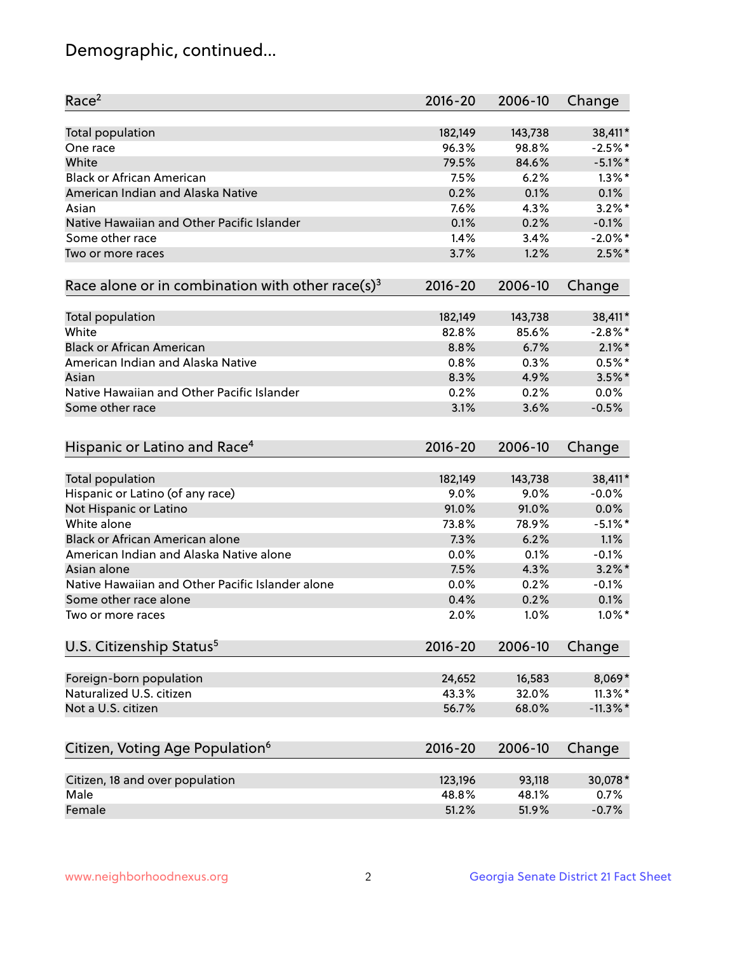## Demographic, continued...

| Race <sup>2</sup>                                            | $2016 - 20$ | 2006-10      | Change      |
|--------------------------------------------------------------|-------------|--------------|-------------|
| <b>Total population</b>                                      | 182,149     | 143,738      | 38,411*     |
| One race                                                     | 96.3%       | 98.8%        | $-2.5%$ *   |
| White                                                        | 79.5%       | 84.6%        | $-5.1\%$ *  |
| <b>Black or African American</b>                             | 7.5%        | 6.2%         | $1.3\%$ *   |
| American Indian and Alaska Native                            | 0.2%        | 0.1%         | 0.1%        |
| Asian                                                        | 7.6%        | 4.3%         | $3.2\%$ *   |
| Native Hawaiian and Other Pacific Islander                   | 0.1%        | 0.2%         | $-0.1%$     |
| Some other race                                              | 1.4%        | 3.4%         | $-2.0\%$ *  |
| Two or more races                                            | 3.7%        | 1.2%         | $2.5%$ *    |
| Race alone or in combination with other race(s) <sup>3</sup> | $2016 - 20$ | 2006-10      | Change      |
|                                                              |             |              |             |
| Total population                                             | 182,149     | 143,738      | 38,411*     |
| White                                                        | 82.8%       | 85.6%        | $-2.8\%$ *  |
| <b>Black or African American</b>                             | 8.8%        | 6.7%         | $2.1\%$ *   |
| American Indian and Alaska Native                            | 0.8%        | 0.3%         | $0.5%$ *    |
| Asian                                                        | 8.3%        | 4.9%         | $3.5\%$ *   |
| Native Hawaiian and Other Pacific Islander                   | 0.2%        | 0.2%         | 0.0%        |
| Some other race                                              | 3.1%        | 3.6%         | $-0.5%$     |
| Hispanic or Latino and Race <sup>4</sup>                     | $2016 - 20$ | 2006-10      | Change      |
| <b>Total population</b>                                      | 182,149     | 143,738      | 38,411*     |
| Hispanic or Latino (of any race)                             | 9.0%        | 9.0%         | $-0.0%$     |
| Not Hispanic or Latino                                       | 91.0%       | 91.0%        | 0.0%        |
| White alone                                                  | 73.8%       | 78.9%        | $-5.1\%$ *  |
| Black or African American alone                              | 7.3%        | 6.2%         | 1.1%        |
| American Indian and Alaska Native alone                      | 0.0%        | 0.1%         | $-0.1%$     |
| Asian alone                                                  | 7.5%        | 4.3%         | $3.2\%$ *   |
| Native Hawaiian and Other Pacific Islander alone             | 0.0%        | 0.2%         | $-0.1%$     |
| Some other race alone                                        | 0.4%        |              | 0.1%        |
| Two or more races                                            | 2.0%        | 0.2%<br>1.0% | $1.0\%$ *   |
|                                                              |             |              |             |
| U.S. Citizenship Status <sup>5</sup>                         | $2016 - 20$ | 2006-10      | Change      |
| Foreign-born population                                      | 24,652      | 16,583       | 8,069*      |
| Naturalized U.S. citizen                                     | 43.3%       | 32.0%        | $11.3\%$ *  |
| Not a U.S. citizen                                           | 56.7%       | 68.0%        | $-11.3\%$ * |
|                                                              |             |              |             |
| Citizen, Voting Age Population <sup>6</sup>                  | 2016-20     | 2006-10      | Change      |
| Citizen, 18 and over population                              | 123,196     | 93,118       | 30,078*     |
| Male                                                         | 48.8%       | 48.1%        | 0.7%        |
| Female                                                       | 51.2%       | 51.9%        | $-0.7%$     |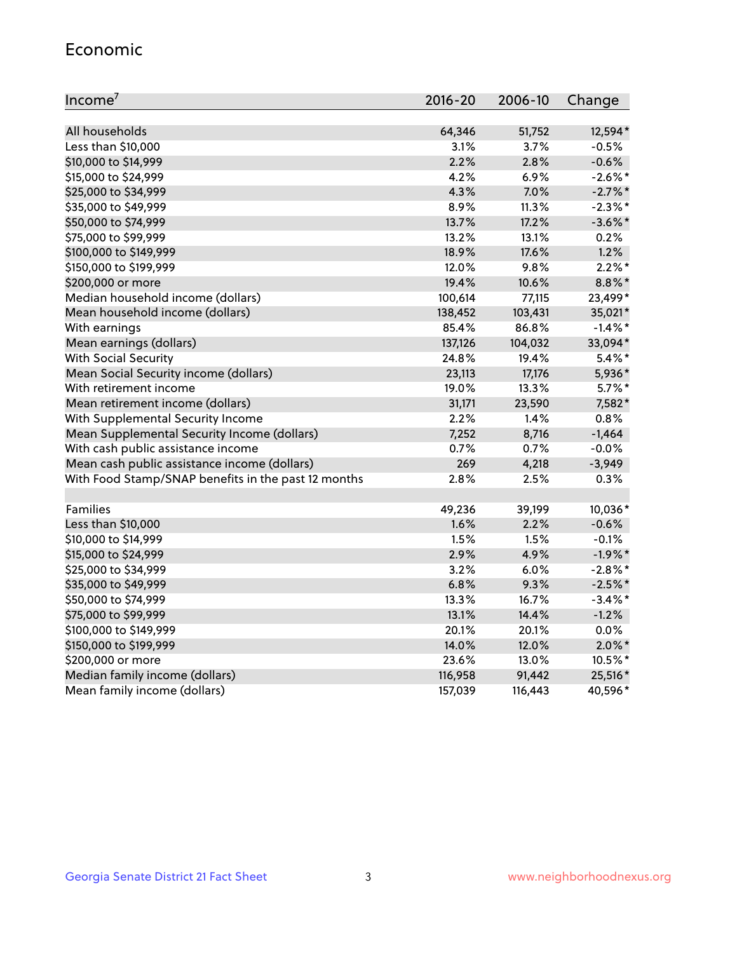#### Economic

| Income <sup>7</sup>                                 | $2016 - 20$ | 2006-10 | Change     |
|-----------------------------------------------------|-------------|---------|------------|
|                                                     |             |         |            |
| All households                                      | 64,346      | 51,752  | 12,594*    |
| Less than \$10,000                                  | 3.1%        | 3.7%    | $-0.5%$    |
| \$10,000 to \$14,999                                | 2.2%        | 2.8%    | $-0.6%$    |
| \$15,000 to \$24,999                                | 4.2%        | 6.9%    | $-2.6\%$ * |
| \$25,000 to \$34,999                                | 4.3%        | 7.0%    | $-2.7\%$ * |
| \$35,000 to \$49,999                                | 8.9%        | 11.3%   | $-2.3\%$ * |
| \$50,000 to \$74,999                                | 13.7%       | 17.2%   | $-3.6\%$ * |
| \$75,000 to \$99,999                                | 13.2%       | 13.1%   | 0.2%       |
| \$100,000 to \$149,999                              | 18.9%       | 17.6%   | 1.2%       |
| \$150,000 to \$199,999                              | 12.0%       | 9.8%    | $2.2\%$ *  |
| \$200,000 or more                                   | 19.4%       | 10.6%   | $8.8\%$ *  |
| Median household income (dollars)                   | 100,614     | 77,115  | 23,499*    |
| Mean household income (dollars)                     | 138,452     | 103,431 | 35,021*    |
| With earnings                                       | 85.4%       | 86.8%   | $-1.4\%$ * |
| Mean earnings (dollars)                             | 137,126     | 104,032 | 33,094*    |
| <b>With Social Security</b>                         | 24.8%       | 19.4%   | $5.4\%$ *  |
| Mean Social Security income (dollars)               | 23,113      | 17,176  | 5,936*     |
| With retirement income                              | 19.0%       | 13.3%   | $5.7\%$ *  |
| Mean retirement income (dollars)                    | 31,171      | 23,590  | 7,582*     |
| With Supplemental Security Income                   | $2.2\%$     | 1.4%    | 0.8%       |
| Mean Supplemental Security Income (dollars)         | 7,252       | 8,716   | $-1,464$   |
| With cash public assistance income                  | 0.7%        | 0.7%    | $-0.0%$    |
| Mean cash public assistance income (dollars)        | 269         | 4,218   | $-3,949$   |
| With Food Stamp/SNAP benefits in the past 12 months | 2.8%        | 2.5%    | 0.3%       |
|                                                     |             |         |            |
| Families                                            | 49,236      | 39,199  | 10,036*    |
| Less than \$10,000                                  | 1.6%        | 2.2%    | $-0.6%$    |
| \$10,000 to \$14,999                                | 1.5%        | 1.5%    | $-0.1%$    |
| \$15,000 to \$24,999                                | 2.9%        | 4.9%    | $-1.9%$ *  |
| \$25,000 to \$34,999                                | 3.2%        | 6.0%    | $-2.8\%$ * |
| \$35,000 to \$49,999                                | 6.8%        | 9.3%    | $-2.5%$ *  |
| \$50,000 to \$74,999                                | 13.3%       | 16.7%   | $-3.4\%$ * |
| \$75,000 to \$99,999                                | 13.1%       | 14.4%   | $-1.2%$    |
| \$100,000 to \$149,999                              | 20.1%       | 20.1%   | 0.0%       |
| \$150,000 to \$199,999                              | 14.0%       | 12.0%   | $2.0\%$ *  |
| \$200,000 or more                                   | 23.6%       | 13.0%   | 10.5%*     |
| Median family income (dollars)                      | 116,958     | 91,442  | 25,516*    |
| Mean family income (dollars)                        | 157,039     | 116,443 | 40,596*    |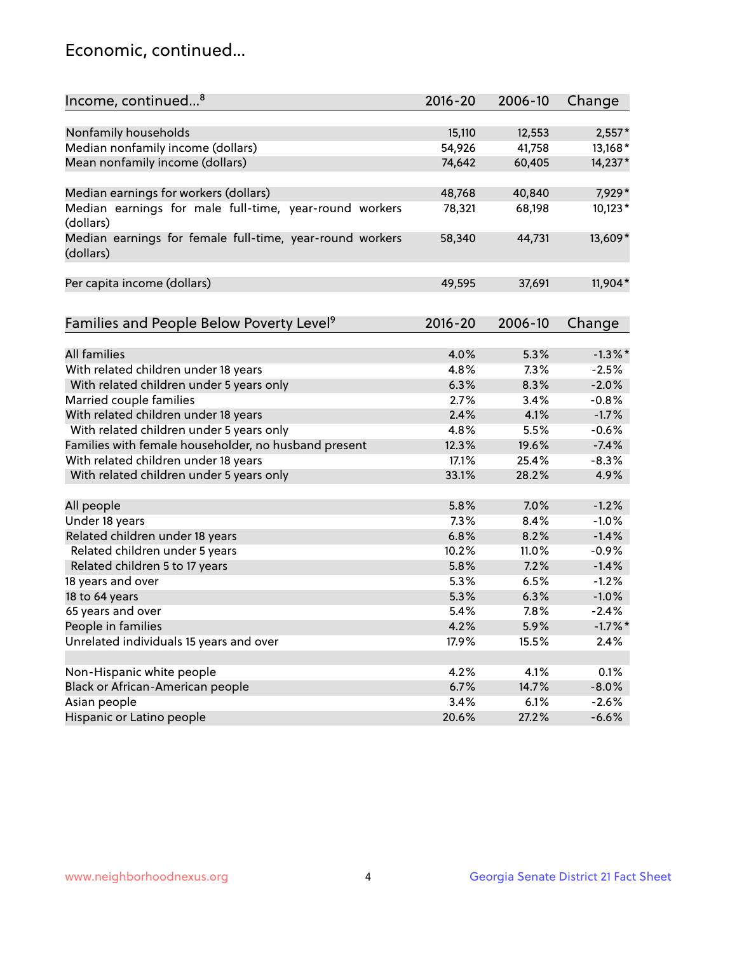## Economic, continued...

| Income, continued <sup>8</sup>                           | 2016-20 | 2006-10 | Change     |
|----------------------------------------------------------|---------|---------|------------|
|                                                          |         |         |            |
| Nonfamily households                                     | 15,110  | 12,553  | $2,557*$   |
| Median nonfamily income (dollars)                        | 54,926  | 41,758  | 13,168*    |
| Mean nonfamily income (dollars)                          | 74,642  | 60,405  | 14,237*    |
|                                                          |         |         |            |
| Median earnings for workers (dollars)                    | 48,768  | 40,840  | 7,929*     |
| Median earnings for male full-time, year-round workers   | 78,321  | 68,198  | $10,123*$  |
| (dollars)                                                |         |         |            |
| Median earnings for female full-time, year-round workers | 58,340  | 44,731  | 13,609*    |
| (dollars)                                                |         |         |            |
|                                                          |         |         |            |
| Per capita income (dollars)                              | 49,595  | 37,691  | 11,904*    |
|                                                          |         |         |            |
| Families and People Below Poverty Level <sup>9</sup>     | 2016-20 | 2006-10 | Change     |
|                                                          |         |         |            |
| <b>All families</b>                                      | 4.0%    | 5.3%    | $-1.3\%$ * |
| With related children under 18 years                     | 4.8%    | 7.3%    | $-2.5%$    |
| With related children under 5 years only                 | 6.3%    | 8.3%    | $-2.0%$    |
| Married couple families                                  | 2.7%    | 3.4%    | $-0.8%$    |
| With related children under 18 years                     | 2.4%    | 4.1%    | $-1.7%$    |
| With related children under 5 years only                 | 4.8%    | 5.5%    | $-0.6%$    |
| Families with female householder, no husband present     | 12.3%   | 19.6%   | $-7.4%$    |
| With related children under 18 years                     | 17.1%   | 25.4%   | $-8.3%$    |
| With related children under 5 years only                 | 33.1%   | 28.2%   | 4.9%       |
|                                                          |         |         |            |
| All people                                               | 5.8%    | 7.0%    | $-1.2%$    |
| Under 18 years                                           | 7.3%    | 8.4%    | $-1.0%$    |
| Related children under 18 years                          | 6.8%    | 8.2%    | $-1.4%$    |
| Related children under 5 years                           | 10.2%   | 11.0%   | $-0.9%$    |
| Related children 5 to 17 years                           | 5.8%    | 7.2%    | $-1.4%$    |
| 18 years and over                                        | 5.3%    | 6.5%    | $-1.2%$    |
| 18 to 64 years                                           | 5.3%    | 6.3%    | $-1.0%$    |
| 65 years and over                                        | 5.4%    | 7.8%    | $-2.4%$    |
| People in families                                       | 4.2%    | 5.9%    | $-1.7\%$ * |
| Unrelated individuals 15 years and over                  | 17.9%   | 15.5%   | 2.4%       |
|                                                          |         |         |            |
| Non-Hispanic white people                                | 4.2%    | 4.1%    | 0.1%       |
| Black or African-American people                         | 6.7%    | 14.7%   | $-8.0%$    |
| Asian people                                             | 3.4%    | 6.1%    | $-2.6%$    |
| Hispanic or Latino people                                | 20.6%   | 27.2%   | $-6.6%$    |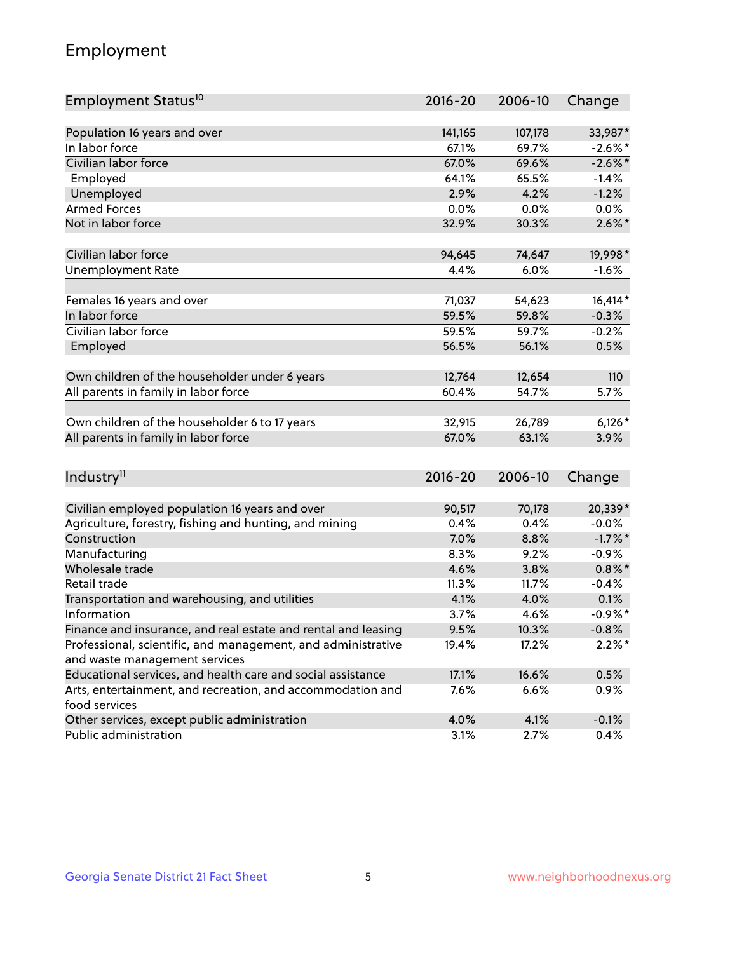## Employment

| Employment Status <sup>10</sup>                               | $2016 - 20$ | 2006-10 | Change     |
|---------------------------------------------------------------|-------------|---------|------------|
|                                                               |             |         |            |
| Population 16 years and over                                  | 141,165     | 107,178 | 33,987*    |
| In labor force                                                | 67.1%       | 69.7%   | $-2.6\%$ * |
| Civilian labor force                                          | 67.0%       | 69.6%   | $-2.6\%$ * |
| Employed                                                      | 64.1%       | 65.5%   | $-1.4%$    |
| Unemployed                                                    | 2.9%        | 4.2%    | $-1.2%$    |
| <b>Armed Forces</b>                                           | 0.0%        | 0.0%    | 0.0%       |
| Not in labor force                                            | 32.9%       | 30.3%   | $2.6\%$ *  |
| Civilian labor force                                          |             |         |            |
|                                                               | 94,645      | 74,647  | 19,998*    |
| <b>Unemployment Rate</b>                                      | 4.4%        | 6.0%    | $-1.6%$    |
| Females 16 years and over                                     | 71,037      | 54,623  | $16,414*$  |
| In labor force                                                | 59.5%       | 59.8%   | $-0.3%$    |
| Civilian labor force                                          | 59.5%       | 59.7%   | $-0.2%$    |
| Employed                                                      | 56.5%       | 56.1%   | 0.5%       |
|                                                               |             |         |            |
| Own children of the householder under 6 years                 | 12,764      | 12,654  | 110        |
| All parents in family in labor force                          | 60.4%       | 54.7%   | 5.7%       |
|                                                               |             |         |            |
| Own children of the householder 6 to 17 years                 | 32,915      | 26,789  | $6,126*$   |
| All parents in family in labor force                          | 67.0%       | 63.1%   | 3.9%       |
|                                                               |             |         |            |
| Industry <sup>11</sup>                                        | $2016 - 20$ | 2006-10 | Change     |
| Civilian employed population 16 years and over                | 90,517      | 70,178  | 20,339*    |
| Agriculture, forestry, fishing and hunting, and mining        | 0.4%        | 0.4%    | $-0.0%$    |
| Construction                                                  | 7.0%        | 8.8%    | $-1.7\%$ * |
| Manufacturing                                                 | 8.3%        | 9.2%    | $-0.9%$    |
| Wholesale trade                                               | 4.6%        | 3.8%    | $0.8\%$ *  |
| Retail trade                                                  | 11.3%       | 11.7%   | $-0.4%$    |
| Transportation and warehousing, and utilities                 | 4.1%        | 4.0%    | 0.1%       |
| Information                                                   | 3.7%        | 4.6%    | $-0.9%$ *  |
| Finance and insurance, and real estate and rental and leasing | 9.5%        | 10.3%   | $-0.8%$    |
| Professional, scientific, and management, and administrative  | 19.4%       | 17.2%   | $2.2\%$ *  |
| and waste management services                                 |             |         |            |
| Educational services, and health care and social assistance   | 17.1%       | 16.6%   | 0.5%       |
| Arts, entertainment, and recreation, and accommodation and    | 7.6%        | 6.6%    | 0.9%       |
| food services                                                 |             |         |            |
| Other services, except public administration                  | 4.0%        | 4.1%    | $-0.1%$    |
| Public administration                                         | 3.1%        | 2.7%    | 0.4%       |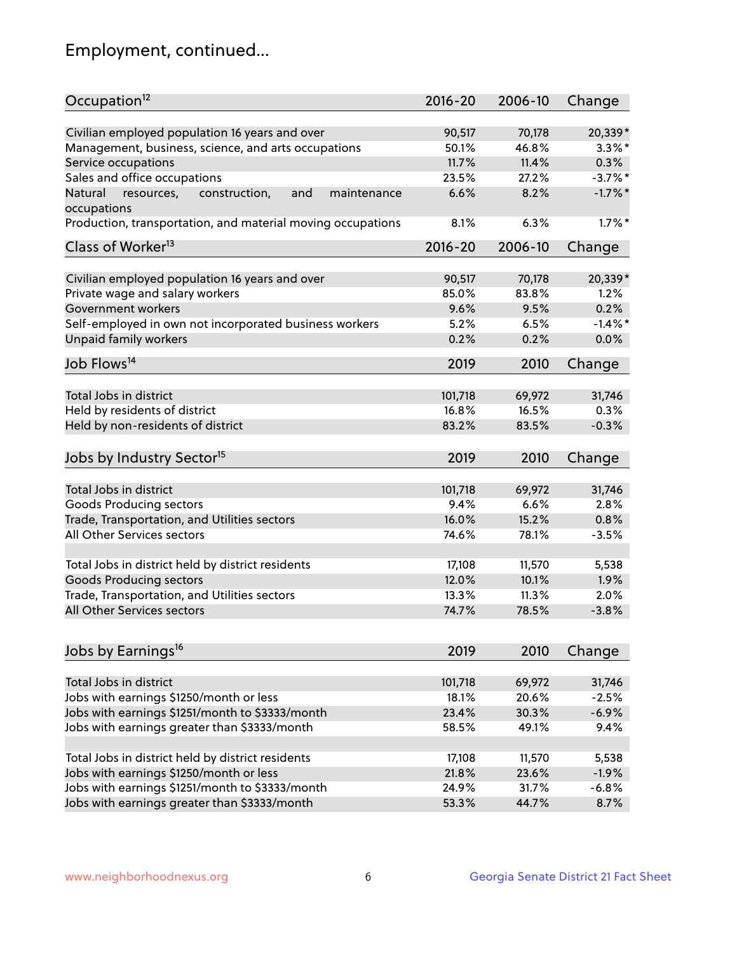## Employment, continued...

| Occupation <sup>12</sup>                                     | $2016 - 20$ | 2006-10 | Change     |
|--------------------------------------------------------------|-------------|---------|------------|
| Civilian employed population 16 years and over               | 90,517      | 70,178  | 20,339*    |
| Management, business, science, and arts occupations          | 50.1%       | 46.8%   | $3.3\%$ *  |
| Service occupations                                          | 11.7%       | 11.4%   | 0.3%       |
| Sales and office occupations                                 | 23.5%       | 27.2%   | $-3.7%$ *  |
| Natural<br>and<br>resources,<br>construction,<br>maintenance | 6.6%        | 8.2%    | $-1.7\%$ * |
| occupations                                                  |             |         |            |
| Production, transportation, and material moving occupations  | 8.1%        | 6.3%    | $1.7\%$ *  |
| Class of Worker <sup>13</sup>                                | $2016 - 20$ | 2006-10 | Change     |
| Civilian employed population 16 years and over               | 90,517      | 70,178  | 20,339*    |
| Private wage and salary workers                              | 85.0%       | 83.8%   | 1.2%       |
| Government workers                                           | 9.6%        | 9.5%    | 0.2%       |
| Self-employed in own not incorporated business workers       | 5.2%        | 6.5%    | $-1.4%$ *  |
| Unpaid family workers                                        | 0.2%        | 0.2%    | 0.0%       |
|                                                              |             |         |            |
| Job Flows <sup>14</sup>                                      | 2019        | 2010    | Change     |
| Total Jobs in district                                       | 101,718     |         | 31,746     |
|                                                              |             | 69,972  | 0.3%       |
| Held by residents of district                                | 16.8%       | 16.5%   |            |
| Held by non-residents of district                            | 83.2%       | 83.5%   | $-0.3%$    |
| Jobs by Industry Sector <sup>15</sup>                        | 2019        | 2010    | Change     |
| Total Jobs in district                                       | 101,718     | 69,972  | 31,746     |
| Goods Producing sectors                                      | 9.4%        | 6.6%    | 2.8%       |
| Trade, Transportation, and Utilities sectors                 | 16.0%       | 15.2%   | 0.8%       |
| All Other Services sectors                                   | 74.6%       | 78.1%   | $-3.5%$    |
|                                                              |             |         |            |
| Total Jobs in district held by district residents            | 17,108      | 11,570  | 5,538      |
| <b>Goods Producing sectors</b>                               | 12.0%       | 10.1%   | 1.9%       |
| Trade, Transportation, and Utilities sectors                 | 13.3%       | 11.3%   | 2.0%       |
| All Other Services sectors                                   | 74.7%       | 78.5%   | $-3.8%$    |
|                                                              |             |         |            |
| Jobs by Earnings <sup>16</sup>                               | 2019        | 2010    | Change     |
| Total Jobs in district                                       | 101,718     | 69,972  | 31,746     |
| Jobs with earnings \$1250/month or less                      | 18.1%       | 20.6%   | $-2.5%$    |
| Jobs with earnings \$1251/month to \$3333/month              | 23.4%       | 30.3%   | $-6.9%$    |
| Jobs with earnings greater than \$3333/month                 | 58.5%       | 49.1%   | 9.4%       |
|                                                              |             |         |            |
| Total Jobs in district held by district residents            | 17,108      | 11,570  | 5,538      |
| Jobs with earnings \$1250/month or less                      | 21.8%       | 23.6%   | $-1.9%$    |
| Jobs with earnings \$1251/month to \$3333/month              | 24.9%       | 31.7%   | $-6.8%$    |
| Jobs with earnings greater than \$3333/month                 | 53.3%       | 44.7%   | 8.7%       |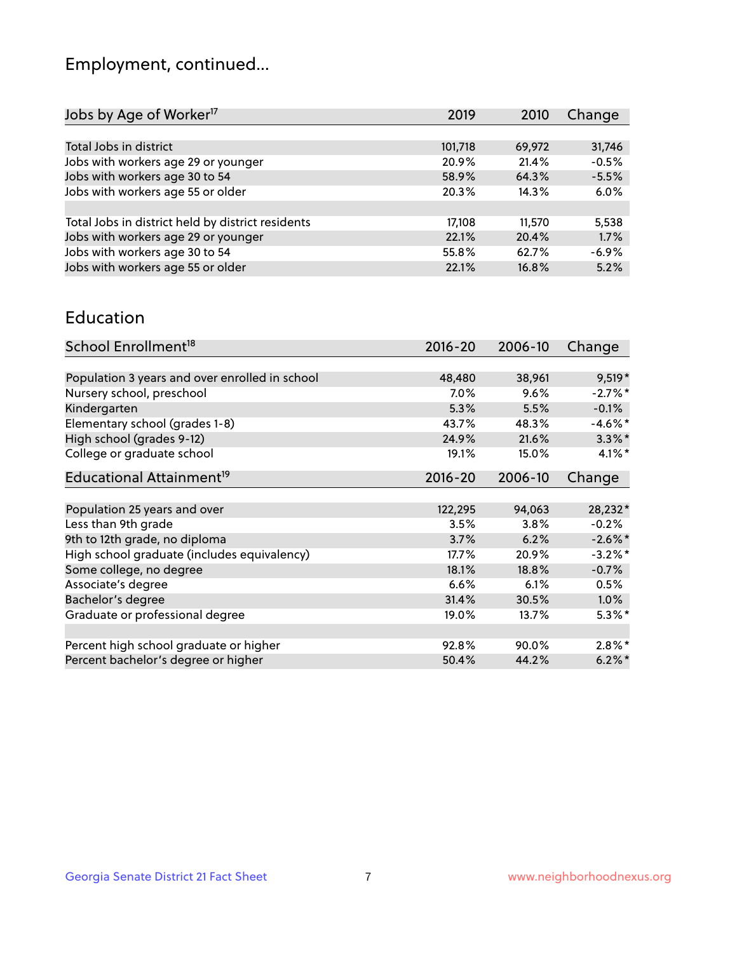## Employment, continued...

| 2019    | 2010   | Change  |
|---------|--------|---------|
|         |        |         |
| 101,718 | 69,972 | 31,746  |
| 20.9%   | 21.4%  | $-0.5%$ |
| 58.9%   | 64.3%  | $-5.5%$ |
| 20.3%   | 14.3%  | 6.0%    |
|         |        |         |
| 17,108  | 11,570 | 5,538   |
| 22.1%   | 20.4%  | 1.7%    |
| 55.8%   | 62.7%  | $-6.9%$ |
| 22.1%   | 16.8%  | 5.2%    |
|         |        |         |

#### Education

| School Enrollment <sup>18</sup>                | $2016 - 20$ | 2006-10 | Change     |
|------------------------------------------------|-------------|---------|------------|
|                                                |             |         |            |
| Population 3 years and over enrolled in school | 48,480      | 38,961  | $9,519*$   |
| Nursery school, preschool                      | 7.0%        | 9.6%    | $-2.7%$ *  |
| Kindergarten                                   | 5.3%        | 5.5%    | $-0.1%$    |
| Elementary school (grades 1-8)                 | 43.7%       | 48.3%   | $-4.6\%$ * |
| High school (grades 9-12)                      | 24.9%       | 21.6%   | $3.3\%$ *  |
| College or graduate school                     | 19.1%       | 15.0%   | $4.1\%$ *  |
| Educational Attainment <sup>19</sup>           | $2016 - 20$ | 2006-10 | Change     |
|                                                |             |         |            |
| Population 25 years and over                   | 122,295     | 94,063  | 28,232*    |
| Less than 9th grade                            | 3.5%        | 3.8%    | $-0.2%$    |
| 9th to 12th grade, no diploma                  | 3.7%        | 6.2%    | $-2.6\%$ * |
| High school graduate (includes equivalency)    | $17.7\%$    | 20.9%   | $-3.2\%$ * |
| Some college, no degree                        | 18.1%       | 18.8%   | $-0.7%$    |
| Associate's degree                             | 6.6%        | 6.1%    | 0.5%       |
| Bachelor's degree                              | 31.4%       | 30.5%   | $1.0\%$    |
| Graduate or professional degree                | 19.0%       | 13.7%   | $5.3\%$ *  |
|                                                |             |         |            |
| Percent high school graduate or higher         | 92.8%       | 90.0%   | $2.8\%$ *  |
| Percent bachelor's degree or higher            | 50.4%       | 44.2%   | $6.2\%$ *  |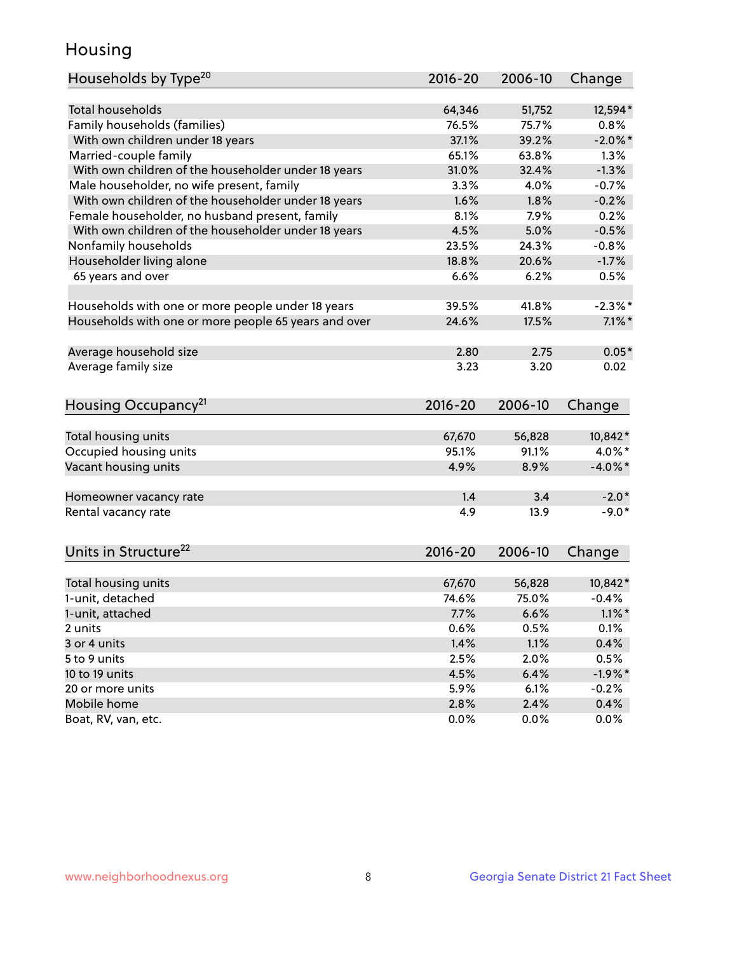## Housing

| Households by Type <sup>20</sup>                     | 2016-20     | 2006-10 | Change     |
|------------------------------------------------------|-------------|---------|------------|
|                                                      |             |         |            |
| <b>Total households</b>                              | 64,346      | 51,752  | 12,594*    |
| Family households (families)                         | 76.5%       | 75.7%   | 0.8%       |
| With own children under 18 years                     | 37.1%       | 39.2%   | $-2.0\%$ * |
| Married-couple family                                | 65.1%       | 63.8%   | 1.3%       |
| With own children of the householder under 18 years  | 31.0%       | 32.4%   | $-1.3%$    |
| Male householder, no wife present, family            | 3.3%        | 4.0%    | $-0.7%$    |
| With own children of the householder under 18 years  | 1.6%        | 1.8%    | $-0.2%$    |
| Female householder, no husband present, family       | 8.1%        | 7.9%    | 0.2%       |
| With own children of the householder under 18 years  | 4.5%        | 5.0%    | $-0.5%$    |
| Nonfamily households                                 | 23.5%       | 24.3%   | $-0.8%$    |
| Householder living alone                             | 18.8%       | 20.6%   | $-1.7%$    |
| 65 years and over                                    | 6.6%        | 6.2%    | 0.5%       |
| Households with one or more people under 18 years    | 39.5%       | 41.8%   | $-2.3\%$ * |
| Households with one or more people 65 years and over | 24.6%       | 17.5%   | $7.1\%$ *  |
| Average household size                               | 2.80        | 2.75    | $0.05*$    |
| Average family size                                  | 3.23        | 3.20    | 0.02       |
|                                                      |             |         |            |
| Housing Occupancy <sup>21</sup>                      | $2016 - 20$ | 2006-10 | Change     |
| Total housing units                                  | 67,670      | 56,828  | 10,842*    |
| Occupied housing units                               | 95.1%       | 91.1%   | 4.0%*      |
| Vacant housing units                                 | 4.9%        | 8.9%    | $-4.0\%$ * |
|                                                      |             |         |            |
| Homeowner vacancy rate                               | 1.4         | 3.4     | $-2.0*$    |
| Rental vacancy rate                                  | 4.9         | 13.9    | $-9.0*$    |
| Units in Structure <sup>22</sup>                     | 2016-20     | 2006-10 | Change     |
| Total housing units                                  | 67,670      | 56,828  | 10,842*    |
| 1-unit, detached                                     | 74.6%       | 75.0%   | $-0.4%$    |
| 1-unit, attached                                     | 7.7%        | 6.6%    | $1.1\%$ *  |
| 2 units                                              | 0.6%        | 0.5%    | 0.1%       |
| 3 or 4 units                                         | 1.4%        | 1.1%    | 0.4%       |
| 5 to 9 units                                         | 2.5%        | 2.0%    | 0.5%       |
|                                                      |             |         |            |
| 10 to 19 units                                       | 4.5%        | 6.4%    | $-1.9%$ *  |
| 20 or more units                                     | 5.9%        | 6.1%    | $-0.2%$    |
| Mobile home                                          | 2.8%        | 2.4%    | 0.4%       |
| Boat, RV, van, etc.                                  | 0.0%        | $0.0\%$ | 0.0%       |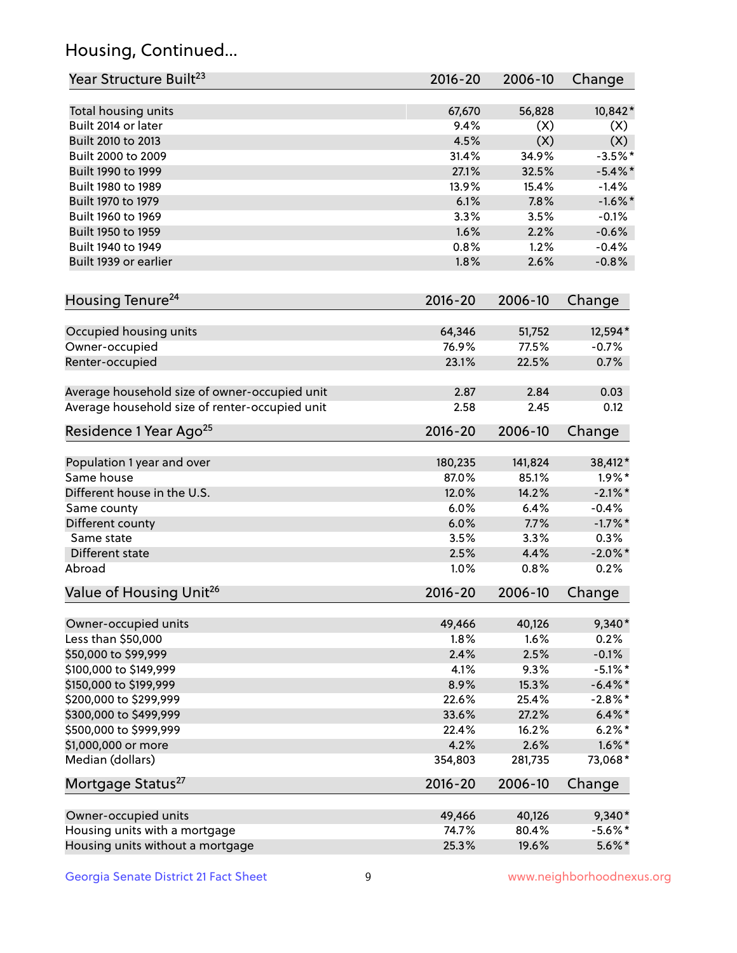## Housing, Continued...

| Year Structure Built <sup>23</sup>             | 2016-20     | 2006-10 | Change     |
|------------------------------------------------|-------------|---------|------------|
| Total housing units                            | 67,670      | 56,828  | 10,842*    |
| Built 2014 or later                            | 9.4%        | (X)     | (X)        |
| Built 2010 to 2013                             | 4.5%        | (X)     | (X)        |
| Built 2000 to 2009                             | 31.4%       | 34.9%   | $-3.5%$ *  |
| Built 1990 to 1999                             | 27.1%       | 32.5%   | $-5.4\%$ * |
| Built 1980 to 1989                             | 13.9%       | 15.4%   | $-1.4%$    |
| Built 1970 to 1979                             | 6.1%        | 7.8%    | $-1.6\%$ * |
| Built 1960 to 1969                             | 3.3%        | 3.5%    | $-0.1%$    |
| Built 1950 to 1959                             | 1.6%        | 2.2%    | $-0.6%$    |
| Built 1940 to 1949                             | 0.8%        | 1.2%    | $-0.4%$    |
| Built 1939 or earlier                          | 1.8%        | 2.6%    | $-0.8%$    |
|                                                |             |         |            |
| Housing Tenure <sup>24</sup>                   | $2016 - 20$ | 2006-10 | Change     |
| Occupied housing units                         | 64,346      | 51,752  | 12,594*    |
| Owner-occupied                                 | 76.9%       | 77.5%   | $-0.7%$    |
| Renter-occupied                                | 23.1%       | 22.5%   | 0.7%       |
|                                                |             |         |            |
| Average household size of owner-occupied unit  | 2.87        | 2.84    | 0.03       |
| Average household size of renter-occupied unit | 2.58        | 2.45    | 0.12       |
| Residence 1 Year Ago <sup>25</sup>             | 2016-20     | 2006-10 | Change     |
| Population 1 year and over                     | 180,235     | 141,824 | 38,412*    |
| Same house                                     | 87.0%       | 85.1%   | $1.9\%$ *  |
| Different house in the U.S.                    | 12.0%       | 14.2%   | $-2.1\%$ * |
| Same county                                    | 6.0%        | 6.4%    | $-0.4%$    |
| Different county                               | 6.0%        | 7.7%    | $-1.7%$ *  |
| Same state                                     | 3.5%        | 3.3%    | 0.3%       |
| Different state                                | 2.5%        | 4.4%    | $-2.0\%$ * |
| Abroad                                         | 1.0%        | 0.8%    | 0.2%       |
| Value of Housing Unit <sup>26</sup>            | $2016 - 20$ | 2006-10 | Change     |
|                                                |             |         |            |
| Owner-occupied units                           | 49,466      | 40,126  | $9,340*$   |
| Less than \$50,000                             | 1.8%        | 1.6%    | 0.2%       |
| \$50,000 to \$99,999                           | 2.4%        | 2.5%    | $-0.1%$    |
| \$100,000 to \$149,999                         | 4.1%        | 9.3%    | $-5.1\%$ * |
| \$150,000 to \$199,999                         | 8.9%        | 15.3%   | $-6.4\%$ * |
| \$200,000 to \$299,999                         | 22.6%       | 25.4%   | $-2.8\%$ * |
| \$300,000 to \$499,999                         | 33.6%       | 27.2%   | $6.4\% *$  |
| \$500,000 to \$999,999                         | 22.4%       | 16.2%   | $6.2\%$ *  |
| \$1,000,000 or more                            | 4.2%        | 2.6%    | $1.6\%$ *  |
| Median (dollars)                               | 354,803     | 281,735 | 73,068*    |
| Mortgage Status <sup>27</sup>                  | $2016 - 20$ | 2006-10 | Change     |
| Owner-occupied units                           | 49,466      | 40,126  | $9,340*$   |
| Housing units with a mortgage                  | 74.7%       | 80.4%   | $-5.6\%$ * |
| Housing units without a mortgage               | 25.3%       | 19.6%   | $5.6\%$ *  |
|                                                |             |         |            |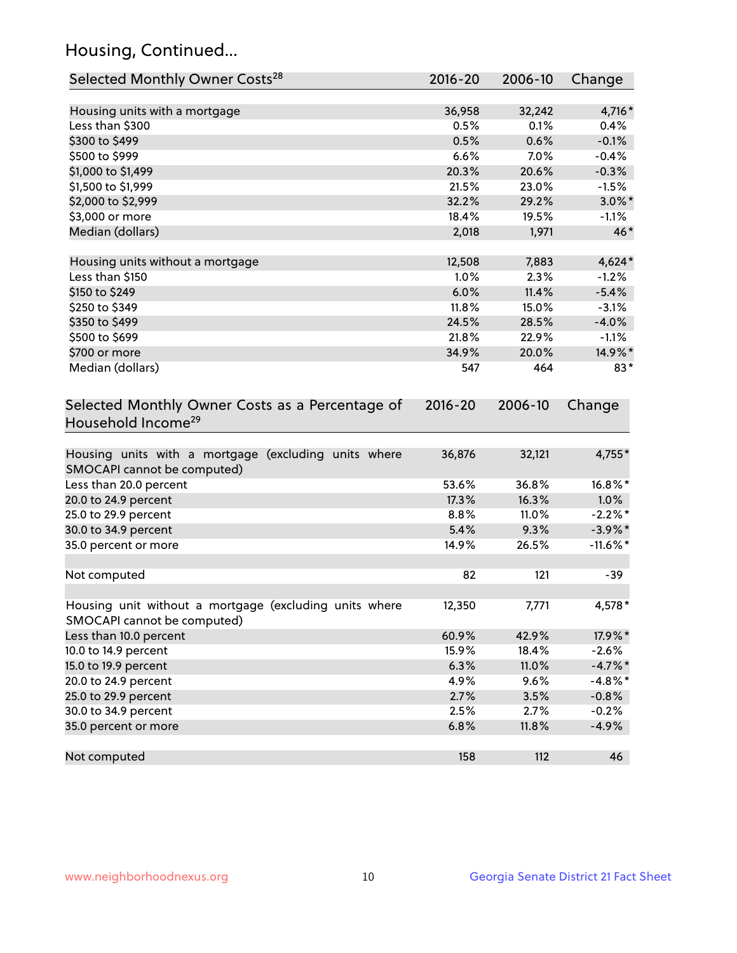## Housing, Continued...

| Selected Monthly Owner Costs <sup>28</sup>                                            | 2016-20     | 2006-10 | Change      |
|---------------------------------------------------------------------------------------|-------------|---------|-------------|
| Housing units with a mortgage                                                         | 36,958      | 32,242  | 4,716*      |
| Less than \$300                                                                       | 0.5%        | 0.1%    | 0.4%        |
| \$300 to \$499                                                                        | 0.5%        | 0.6%    | $-0.1%$     |
| \$500 to \$999                                                                        | 6.6%        | 7.0%    | $-0.4%$     |
| \$1,000 to \$1,499                                                                    | 20.3%       | 20.6%   | $-0.3%$     |
| \$1,500 to \$1,999                                                                    | 21.5%       | 23.0%   | $-1.5%$     |
| \$2,000 to \$2,999                                                                    | 32.2%       | 29.2%   | $3.0\%$ *   |
| \$3,000 or more                                                                       | 18.4%       | 19.5%   | $-1.1%$     |
| Median (dollars)                                                                      | 2,018       | 1,971   | $46*$       |
| Housing units without a mortgage                                                      | 12,508      | 7,883   | $4,624*$    |
| Less than \$150                                                                       | 1.0%        | 2.3%    | $-1.2%$     |
| \$150 to \$249                                                                        | 6.0%        | 11.4%   | $-5.4%$     |
| \$250 to \$349                                                                        | 11.8%       | 15.0%   | $-3.1%$     |
| \$350 to \$499                                                                        | 24.5%       | 28.5%   | $-4.0%$     |
| \$500 to \$699                                                                        | 21.8%       | 22.9%   | $-1.1%$     |
| \$700 or more                                                                         | 34.9%       | 20.0%   | 14.9%*      |
| Median (dollars)                                                                      | 547         | 464     | $83*$       |
| Selected Monthly Owner Costs as a Percentage of<br>Household Income <sup>29</sup>     | $2016 - 20$ | 2006-10 | Change      |
| Housing units with a mortgage (excluding units where<br>SMOCAPI cannot be computed)   | 36,876      | 32,121  | 4,755*      |
| Less than 20.0 percent                                                                | 53.6%       | 36.8%   | $16.8\%$ *  |
| 20.0 to 24.9 percent                                                                  | 17.3%       | 16.3%   | $1.0\%$     |
| 25.0 to 29.9 percent                                                                  | 8.8%        | 11.0%   | $-2.2\%$ *  |
| 30.0 to 34.9 percent                                                                  | 5.4%        | 9.3%    | $-3.9\%$ *  |
| 35.0 percent or more                                                                  | 14.9%       | 26.5%   | $-11.6\%$ * |
| Not computed                                                                          | 82          | 121     | $-39$       |
| Housing unit without a mortgage (excluding units where<br>SMOCAPI cannot be computed) | 12,350      | 7,771   | 4,578*      |
| Less than 10.0 percent                                                                | 60.9%       | 42.9%   | 17.9%*      |
| 10.0 to 14.9 percent                                                                  | 15.9%       | 18.4%   | $-2.6%$     |
| 15.0 to 19.9 percent                                                                  | 6.3%        | 11.0%   | $-4.7%$ *   |
| 20.0 to 24.9 percent                                                                  | 4.9%        | 9.6%    | $-4.8\%$ *  |
| 25.0 to 29.9 percent                                                                  | 2.7%        | 3.5%    | $-0.8%$     |
| 30.0 to 34.9 percent                                                                  | 2.5%        | 2.7%    | $-0.2%$     |
| 35.0 percent or more                                                                  | 6.8%        | 11.8%   | $-4.9%$     |
| Not computed                                                                          | 158         | 112     | 46          |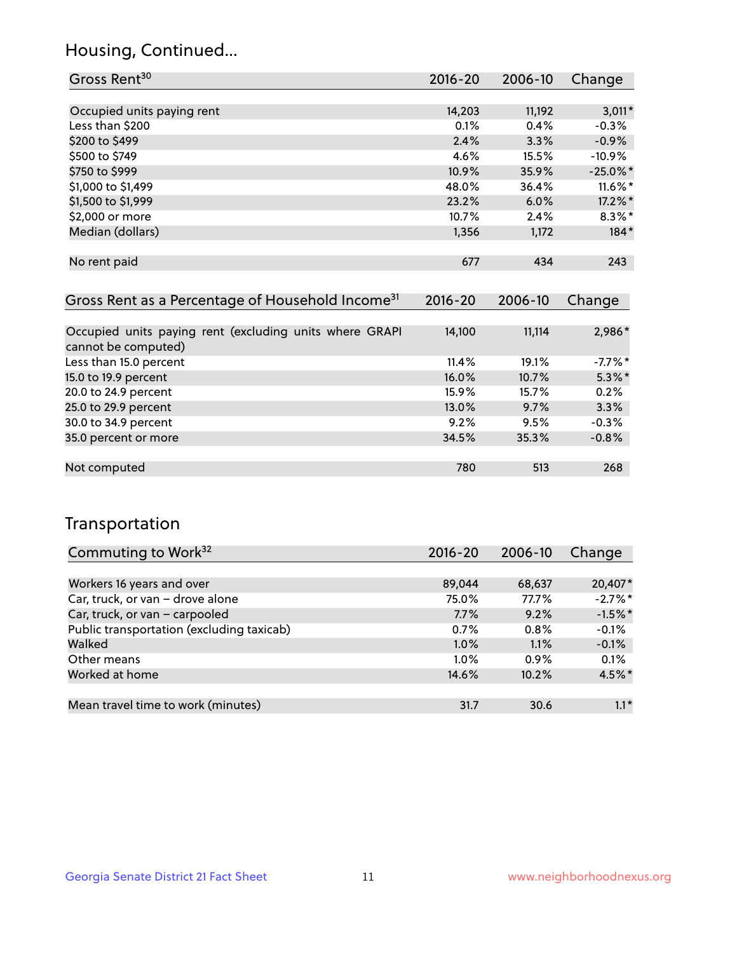## Housing, Continued...

| Gross Rent <sup>30</sup>   | 2016-20 | 2006-10 | Change      |
|----------------------------|---------|---------|-------------|
|                            |         |         |             |
| Occupied units paying rent | 14,203  | 11,192  | $3,011*$    |
| Less than \$200            | 0.1%    | 0.4%    | $-0.3%$     |
| \$200 to \$499             | 2.4%    | 3.3%    | $-0.9%$     |
| \$500 to \$749             | 4.6%    | 15.5%   | $-10.9%$    |
| \$750 to \$999             | 10.9%   | 35.9%   | $-25.0\%$ * |
| \$1,000 to \$1,499         | 48.0%   | 36.4%   | $11.6\%$ *  |
| \$1,500 to \$1,999         | 23.2%   | 6.0%    | 17.2%*      |
| \$2,000 or more            | 10.7%   | 2.4%    | $8.3\%$ *   |
| Median (dollars)           | 1,356   | 1,172   | $184*$      |
|                            |         |         |             |
| No rent paid               | 677     | 434     | 243         |

| Gross Rent as a Percentage of Household Income <sup>31</sup>                   | $2016 - 20$ | 2006-10 | Change     |
|--------------------------------------------------------------------------------|-------------|---------|------------|
|                                                                                |             |         |            |
| Occupied units paying rent (excluding units where GRAPI<br>cannot be computed) | 14,100      | 11,114  | 2,986*     |
| Less than 15.0 percent                                                         | 11.4%       | 19.1%   | $-7.7\%$ * |
| 15.0 to 19.9 percent                                                           | 16.0%       | 10.7%   | $5.3\%$ *  |
| 20.0 to 24.9 percent                                                           | 15.9%       | 15.7%   | 0.2%       |
| 25.0 to 29.9 percent                                                           | 13.0%       | 9.7%    | 3.3%       |
| 30.0 to 34.9 percent                                                           | 9.2%        | 9.5%    | $-0.3%$    |
| 35.0 percent or more                                                           | 34.5%       | 35.3%   | $-0.8%$    |
|                                                                                |             |         |            |
| Not computed                                                                   | 780         | 513     | 268        |

## Transportation

| Commuting to Work <sup>32</sup>           | 2016-20 | 2006-10 | Change    |
|-------------------------------------------|---------|---------|-----------|
|                                           |         |         |           |
| Workers 16 years and over                 | 89,044  | 68,637  | 20,407*   |
| Car, truck, or van - drove alone          | 75.0%   | 77.7%   | $-2.7%$ * |
| Car, truck, or van - carpooled            | 7.7%    | 9.2%    | $-1.5%$ * |
| Public transportation (excluding taxicab) | 0.7%    | 0.8%    | $-0.1%$   |
| Walked                                    | 1.0%    | 1.1%    | $-0.1%$   |
| Other means                               | $1.0\%$ | 0.9%    | 0.1%      |
| Worked at home                            | 14.6%   | 10.2%   | 4.5%*     |
|                                           |         |         |           |
| Mean travel time to work (minutes)        | 31.7    | 30.6    | $1.1*$    |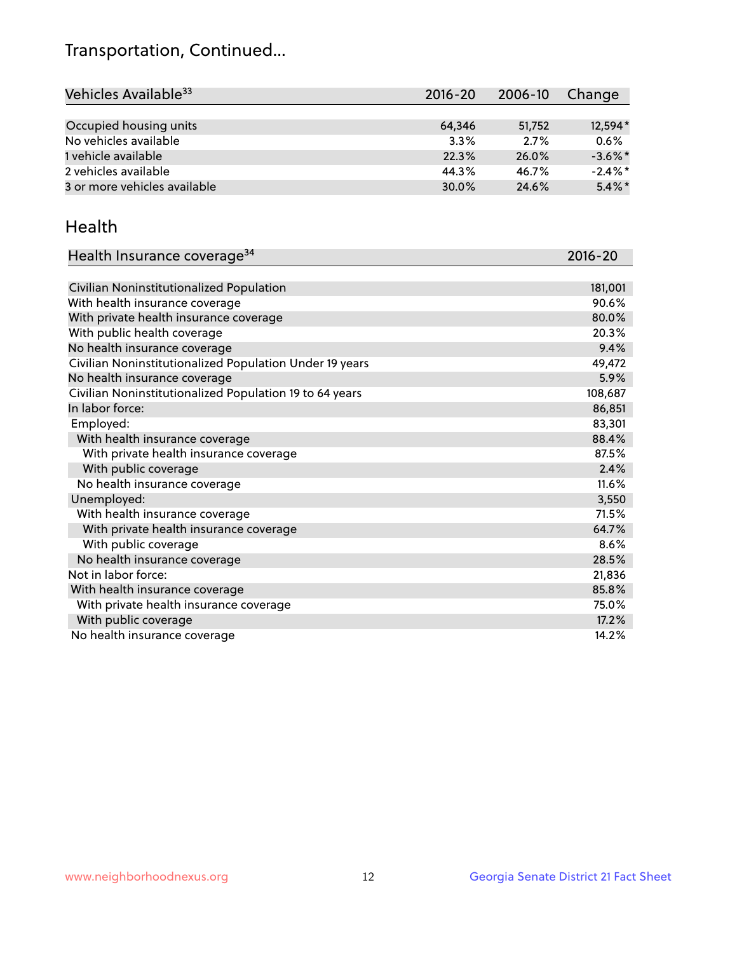## Transportation, Continued...

| Vehicles Available <sup>33</sup> | $2016 - 20$ | 2006-10 | Change     |
|----------------------------------|-------------|---------|------------|
|                                  |             |         |            |
| Occupied housing units           | 64,346      | 51.752  | 12,594*    |
| No vehicles available            | 3.3%        | 2.7%    | 0.6%       |
| 1 vehicle available              | 22.3%       | 26.0%   | $-3.6\%$ * |
| 2 vehicles available             | 44.3%       | 46.7%   | $-2.4\%$ * |
| 3 or more vehicles available     | 30.0%       | 24.6%   | $5.4\%$ *  |

#### Health

| Health Insurance coverage <sup>34</sup>                 | 2016-20 |
|---------------------------------------------------------|---------|
|                                                         |         |
| Civilian Noninstitutionalized Population                | 181,001 |
| With health insurance coverage                          | 90.6%   |
| With private health insurance coverage                  | 80.0%   |
| With public health coverage                             | 20.3%   |
| No health insurance coverage                            | 9.4%    |
| Civilian Noninstitutionalized Population Under 19 years | 49,472  |
| No health insurance coverage                            | 5.9%    |
| Civilian Noninstitutionalized Population 19 to 64 years | 108,687 |
| In labor force:                                         | 86,851  |
| Employed:                                               | 83,301  |
| With health insurance coverage                          | 88.4%   |
| With private health insurance coverage                  | 87.5%   |
| With public coverage                                    | 2.4%    |
| No health insurance coverage                            | 11.6%   |
| Unemployed:                                             | 3,550   |
| With health insurance coverage                          | 71.5%   |
| With private health insurance coverage                  | 64.7%   |
| With public coverage                                    | 8.6%    |
| No health insurance coverage                            | 28.5%   |
| Not in labor force:                                     | 21,836  |
| With health insurance coverage                          | 85.8%   |
| With private health insurance coverage                  | 75.0%   |
| With public coverage                                    | 17.2%   |
| No health insurance coverage                            | 14.2%   |